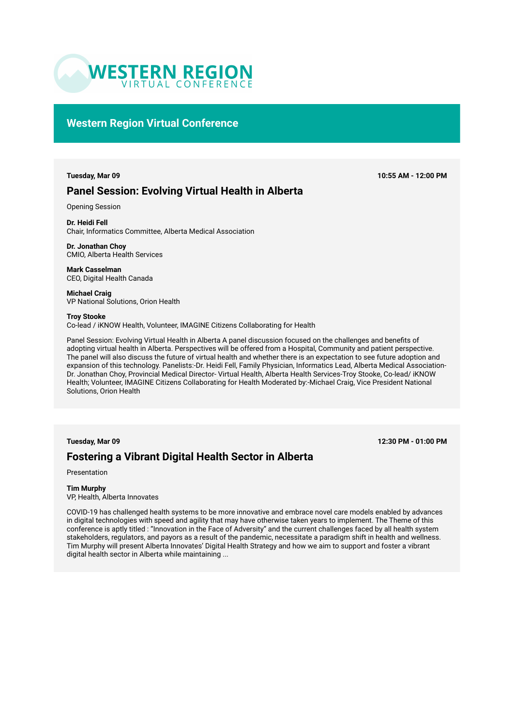

## **Western Region Virtual Conference**

## **Panel Session: Evolving Virtual Health in Alberta**

Opening Session

**Dr. Heidi Fell**  Chair, Informatics Committee, Alberta Medical Association

**Dr. Jonathan Choy**  CMIO, Alberta Health Services

**Mark Casselman**  CEO, Digital Health Canada

**Michael Craig**  VP National Solutions, Orion Health

#### **Troy Stooke**

Co-lead / iKNOW Health, Volunteer, IMAGINE Citizens Collaborating for Health

Panel Session: Evolving Virtual Health in Alberta A panel discussion focused on the challenges and benefits of adopting virtual health in Alberta. Perspectives will be offered from a Hospital, Community and patient perspective. The panel will also discuss the future of virtual health and whether there is an expectation to see future adoption and expansion of this technology. Panelists:-Dr. Heidi Fell, Family Physician, Informatics Lead, Alberta Medical Association-Dr. Jonathan Choy, Provincial Medical Director- Virtual Health, Alberta Health Services-Troy Stooke, Co-lead/ iKNOW Health; Volunteer, IMAGINE Citizens Collaborating for Health Moderated by:-Michael Craig, Vice President National Solutions, Orion Health

**Tuesday, Mar 09 12:30 PM - 01:00 PM**

## **Fostering a Vibrant Digital Health Sector in Alberta**

Presentation

### **Tim Murphy**

VP, Health, Alberta Innovates

COVID-19 has challenged health systems to be more innovative and embrace novel care models enabled by advances in digital technologies with speed and agility that may have otherwise taken years to implement. The Theme of this conference is aptly titled : "Innovation in the Face of Adversity" and the current challenges faced by all health system stakeholders, regulators, and payors as a result of the pandemic, necessitate a paradigm shift in health and wellness. Tim Murphy will present Alberta Innovates' Digital Health Strategy and how we aim to support and foster a vibrant digital health sector in Alberta while maintaining ...

**Tuesday, Mar 09 10:55 AM - 12:00 PM**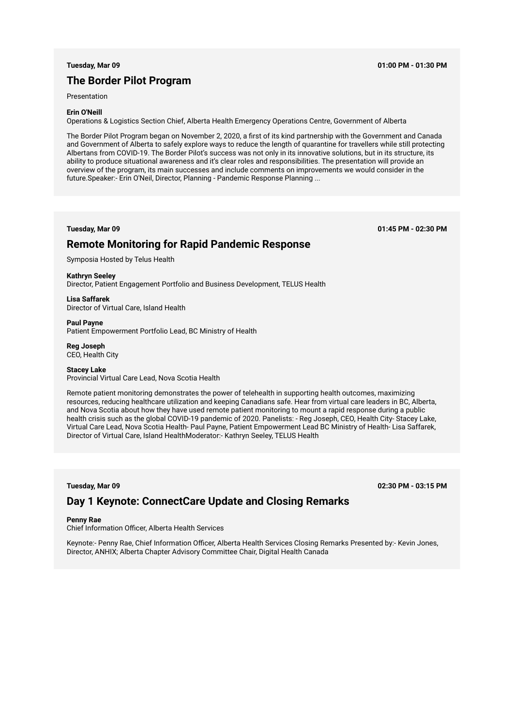## **The Border Pilot Program**

Presentation

#### **Erin O'Neill**

Operations & Logistics Section Chief, Alberta Health Emergency Operations Centre, Government of Alberta

The Border Pilot Program began on November 2, 2020, a first of its kind partnership with the Government and Canada and Government of Alberta to safely explore ways to reduce the length of quarantine for travellers while still protecting Albertans from COVID-19. The Border Pilot's success was not only in its innovative solutions, but in its structure, its ability to produce situational awareness and it's clear roles and responsibilities. The presentation will provide an overview of the program, its main successes and include comments on improvements we would consider in the future.Speaker:- Erin O'Neil, Director, Planning - Pandemic Response Planning ...

**Tuesday, Mar 09 01:45 PM - 02:30 PM**

## **Remote Monitoring for Rapid Pandemic Response**

Symposia Hosted by Telus Health

#### **Kathryn Seeley**

Director, Patient Engagement Portfolio and Business Development, TELUS Health

**Lisa Saffarek**  Director of Virtual Care, Island Health

**Paul Payne** 

Patient Empowerment Portfolio Lead, BC Ministry of Health

**Reg Joseph**  CEO, Health City

#### **Stacey Lake**

Provincial Virtual Care Lead, Nova Scotia Health

Remote patient monitoring demonstrates the power of telehealth in supporting health outcomes, maximizing resources, reducing healthcare utilization and keeping Canadians safe. Hear from virtual care leaders in BC, Alberta, and Nova Scotia about how they have used remote patient monitoring to mount a rapid response during a public health crisis such as the global COVID-19 pandemic of 2020. Panelists: - Reg Joseph, CEO, Health City- Stacey Lake, Virtual Care Lead, Nova Scotia Health- Paul Payne, Patient Empowerment Lead BC Ministry of Health- Lisa Saffarek, Director of Virtual Care, Island HealthModerator:- Kathryn Seeley, TELUS Health

**Tuesday, Mar 09 02:30 PM - 03:15 PM**

## **Day 1 Keynote: ConnectCare Update and Closing Remarks**

#### **Penny Rae**

Chief Information Officer, Alberta Health Services

Keynote:- Penny Rae, Chief Information Officer, Alberta Health Services Closing Remarks Presented by:- Kevin Jones, Director, ANHIX; Alberta Chapter Advisory Committee Chair, Digital Health Canada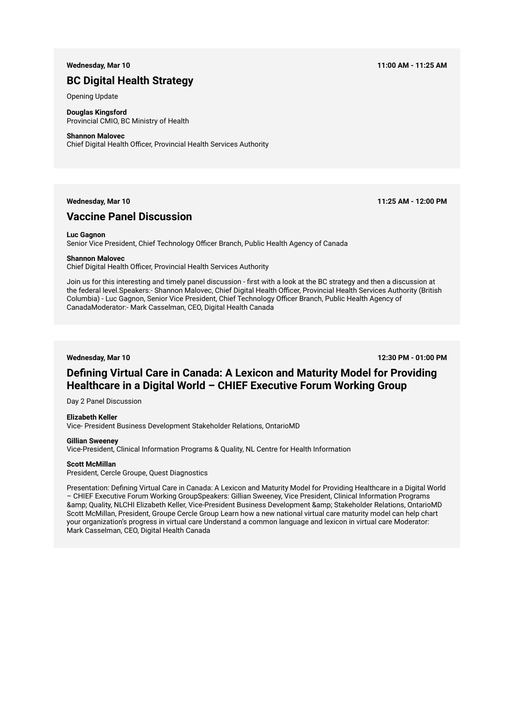## **BC Digital Health Strategy**

Opening Update

**Douglas Kingsford**  Provincial CMIO, BC Ministry of Health

#### **Shannon Malovec**

Chief Digital Health Officer, Provincial Health Services Authority

### **Wednesday, Mar 10 11:25 AM - 12:00 PM**

## **Vaccine Panel Discussion**

#### **Luc Gagnon**

Senior Vice President, Chief Technology Officer Branch, Public Health Agency of Canada

#### **Shannon Malovec**

Chief Digital Health Officer, Provincial Health Services Authority

Join us for this interesting and timely panel discussion - first with a look at the BC strategy and then a discussion at the federal level.Speakers:- Shannon Malovec, Chief Digital Health Officer, Provincial Health Services Authority (British Columbia) - Luc Gagnon, Senior Vice President, Chief Technology Officer Branch, Public Health Agency of CanadaModerator:- Mark Casselman, CEO, Digital Health Canada

**Wednesday, Mar 10 12:30 PM - 01:00 PM**

## **Defining Virtual Care in Canada: A Lexicon and Maturity Model for Providing Healthcare in a Digital World – CHIEF Executive Forum Working Group**

Day 2 Panel Discussion

#### **Elizabeth Keller**

Vice- President Business Development Stakeholder Relations, OntarioMD

#### **Gillian Sweeney**

Vice-President, Clinical Information Programs & Quality, NL Centre for Health Information

#### **Scott McMillan**

President, Cercle Groupe, Quest Diagnostics

Presentation: Defining Virtual Care in Canada: A Lexicon and Maturity Model for Providing Healthcare in a Digital World – CHIEF Executive Forum Working GroupSpeakers: Gillian Sweeney, Vice President, Clinical Information Programs & Quality, NLCHI Elizabeth Keller, Vice-President Business Development & Stakeholder Relations, OntarioMD Scott McMillan, President, Groupe Cercle Group Learn how a new national virtual care maturity model can help chart your organization's progress in virtual care Understand a common language and lexicon in virtual care Moderator: Mark Casselman, CEO, Digital Health Canada

**Wednesday, Mar 10 11:00 AM - 11:25 AM**